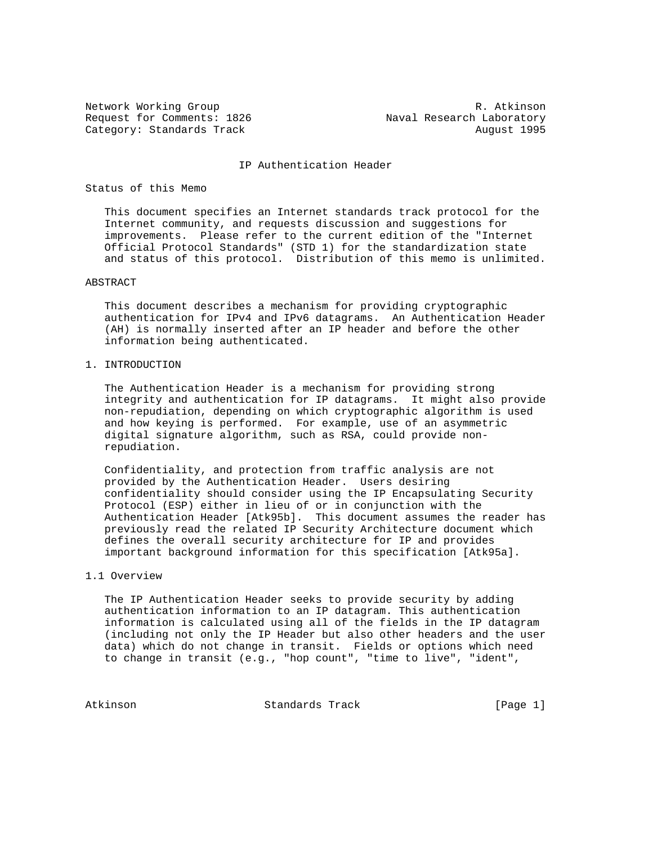Request for Comments: 1826 Maval Research Laboratory Category: Standards Track August 1995

Network Working Group and the set of the set of the set of the R. Atkinson

#### IP Authentication Header

## Status of this Memo

 This document specifies an Internet standards track protocol for the Internet community, and requests discussion and suggestions for improvements. Please refer to the current edition of the "Internet Official Protocol Standards" (STD 1) for the standardization state and status of this protocol. Distribution of this memo is unlimited.

## ABSTRACT

 This document describes a mechanism for providing cryptographic authentication for IPv4 and IPv6 datagrams. An Authentication Header (AH) is normally inserted after an IP header and before the other information being authenticated.

# 1. INTRODUCTION

 The Authentication Header is a mechanism for providing strong integrity and authentication for IP datagrams. It might also provide non-repudiation, depending on which cryptographic algorithm is used and how keying is performed. For example, use of an asymmetric digital signature algorithm, such as RSA, could provide non repudiation.

 Confidentiality, and protection from traffic analysis are not provided by the Authentication Header. Users desiring confidentiality should consider using the IP Encapsulating Security Protocol (ESP) either in lieu of or in conjunction with the Authentication Header [Atk95b]. This document assumes the reader has previously read the related IP Security Architecture document which defines the overall security architecture for IP and provides important background information for this specification [Atk95a].

# 1.1 Overview

 The IP Authentication Header seeks to provide security by adding authentication information to an IP datagram. This authentication information is calculated using all of the fields in the IP datagram (including not only the IP Header but also other headers and the user data) which do not change in transit. Fields or options which need to change in transit (e.g., "hop count", "time to live", "ident",

Atkinson Standards Track [Page 1]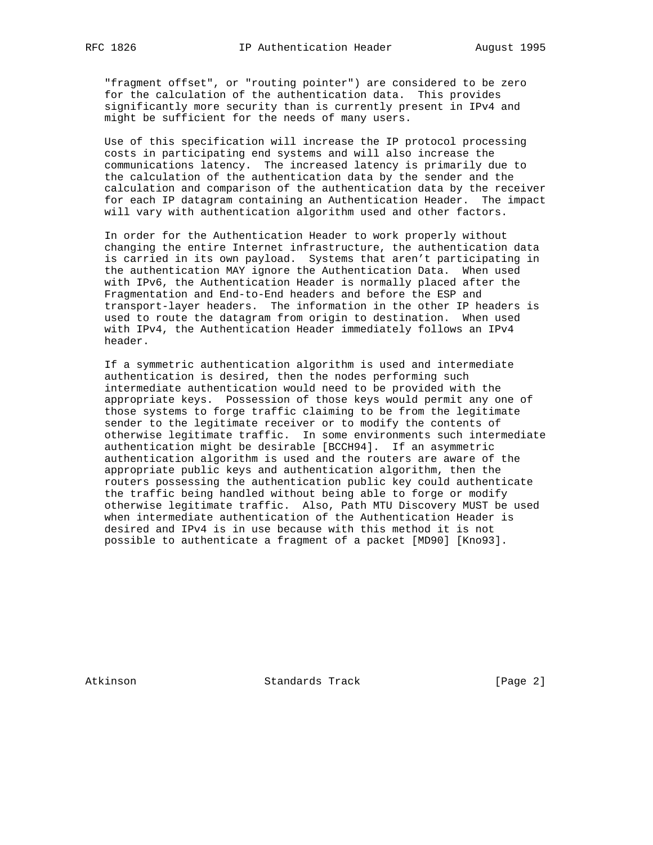"fragment offset", or "routing pointer") are considered to be zero for the calculation of the authentication data. This provides significantly more security than is currently present in IPv4 and might be sufficient for the needs of many users.

 Use of this specification will increase the IP protocol processing costs in participating end systems and will also increase the communications latency. The increased latency is primarily due to the calculation of the authentication data by the sender and the calculation and comparison of the authentication data by the receiver for each IP datagram containing an Authentication Header. The impact will vary with authentication algorithm used and other factors.

 In order for the Authentication Header to work properly without changing the entire Internet infrastructure, the authentication data is carried in its own payload. Systems that aren't participating in the authentication MAY ignore the Authentication Data. When used with IPv6, the Authentication Header is normally placed after the Fragmentation and End-to-End headers and before the ESP and transport-layer headers. The information in the other IP headers is used to route the datagram from origin to destination. When used with IPv4, the Authentication Header immediately follows an IPv4 header.

 If a symmetric authentication algorithm is used and intermediate authentication is desired, then the nodes performing such intermediate authentication would need to be provided with the appropriate keys. Possession of those keys would permit any one of those systems to forge traffic claiming to be from the legitimate sender to the legitimate receiver or to modify the contents of otherwise legitimate traffic. In some environments such intermediate authentication might be desirable [BCCH94]. If an asymmetric authentication algorithm is used and the routers are aware of the appropriate public keys and authentication algorithm, then the routers possessing the authentication public key could authenticate the traffic being handled without being able to forge or modify otherwise legitimate traffic. Also, Path MTU Discovery MUST be used when intermediate authentication of the Authentication Header is desired and IPv4 is in use because with this method it is not possible to authenticate a fragment of a packet [MD90] [Kno93].

Atkinson Standards Track [Page 2]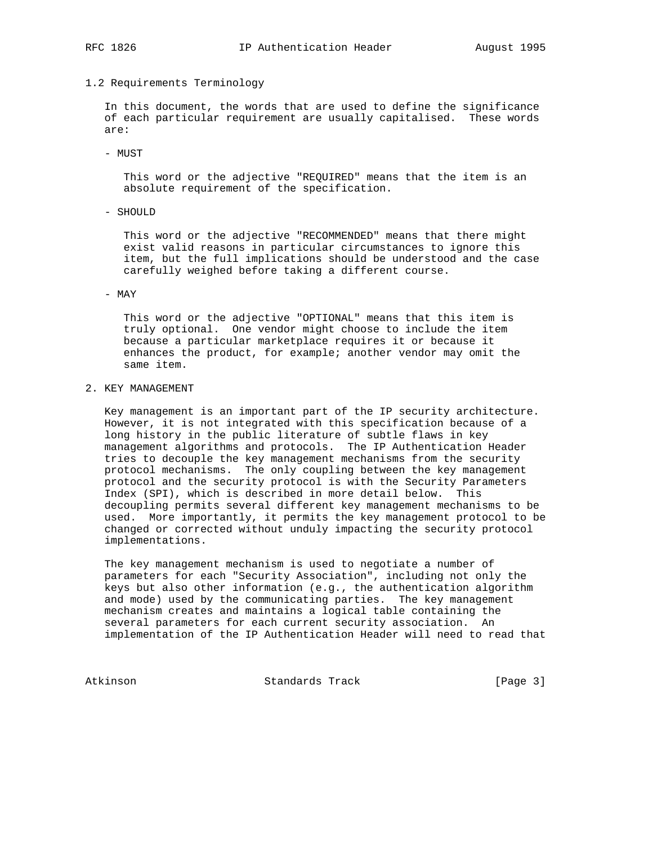## 1.2 Requirements Terminology

 In this document, the words that are used to define the significance of each particular requirement are usually capitalised. These words are:

- MUST

 This word or the adjective "REQUIRED" means that the item is an absolute requirement of the specification.

- SHOULD

 This word or the adjective "RECOMMENDED" means that there might exist valid reasons in particular circumstances to ignore this item, but the full implications should be understood and the case carefully weighed before taking a different course.

### - MAY

 This word or the adjective "OPTIONAL" means that this item is truly optional. One vendor might choose to include the item because a particular marketplace requires it or because it enhances the product, for example; another vendor may omit the same item.

## 2. KEY MANAGEMENT

 Key management is an important part of the IP security architecture. However, it is not integrated with this specification because of a long history in the public literature of subtle flaws in key management algorithms and protocols. The IP Authentication Header tries to decouple the key management mechanisms from the security protocol mechanisms. The only coupling between the key management protocol and the security protocol is with the Security Parameters Index (SPI), which is described in more detail below. This decoupling permits several different key management mechanisms to be used. More importantly, it permits the key management protocol to be changed or corrected without unduly impacting the security protocol implementations.

 The key management mechanism is used to negotiate a number of parameters for each "Security Association", including not only the keys but also other information (e.g., the authentication algorithm and mode) used by the communicating parties. The key management mechanism creates and maintains a logical table containing the several parameters for each current security association. An implementation of the IP Authentication Header will need to read that

Atkinson **Standards Track** [Page 3]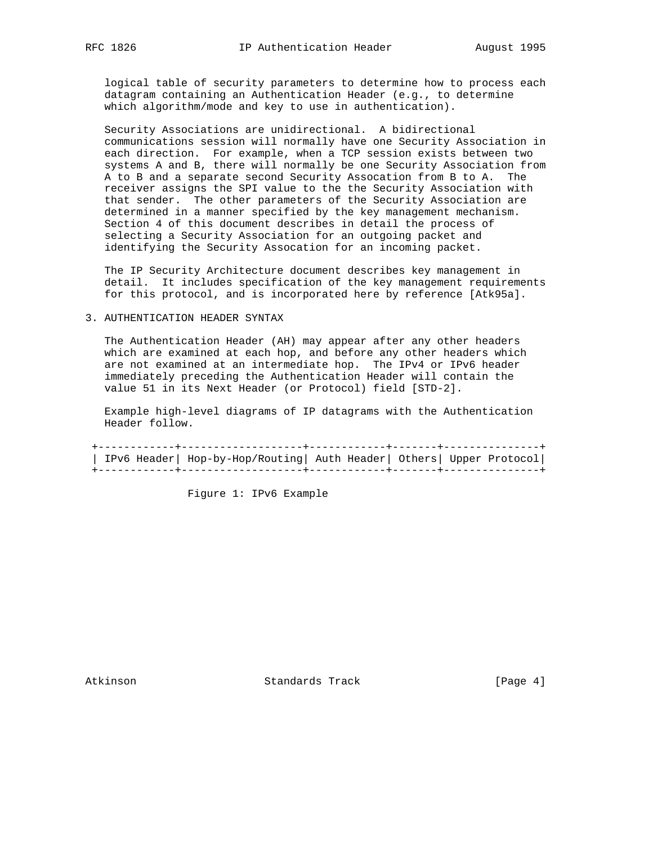logical table of security parameters to determine how to process each datagram containing an Authentication Header (e.g., to determine which algorithm/mode and key to use in authentication).

 Security Associations are unidirectional. A bidirectional communications session will normally have one Security Association in each direction. For example, when a TCP session exists between two systems A and B, there will normally be one Security Association from A to B and a separate second Security Assocation from B to A. The receiver assigns the SPI value to the the Security Association with that sender. The other parameters of the Security Association are determined in a manner specified by the key management mechanism. Section 4 of this document describes in detail the process of selecting a Security Association for an outgoing packet and identifying the Security Assocation for an incoming packet.

 The IP Security Architecture document describes key management in detail. It includes specification of the key management requirements for this protocol, and is incorporated here by reference [Atk95a].

### 3. AUTHENTICATION HEADER SYNTAX

 The Authentication Header (AH) may appear after any other headers which are examined at each hop, and before any other headers which are not examined at an intermediate hop. The IPv4 or IPv6 header immediately preceding the Authentication Header will contain the value 51 in its Next Header (or Protocol) field [STD-2].

 Example high-level diagrams of IP datagrams with the Authentication Header follow.

 +------------+-------------------+------------+-------+---------------+ | IPv6 Header| Hop-by-Hop/Routing| Auth Header| Others| Upper Protocol| +------------+-------------------+------------+-------+---------------+

Figure 1: IPv6 Example

Atkinson **Standards Track** [Page 4]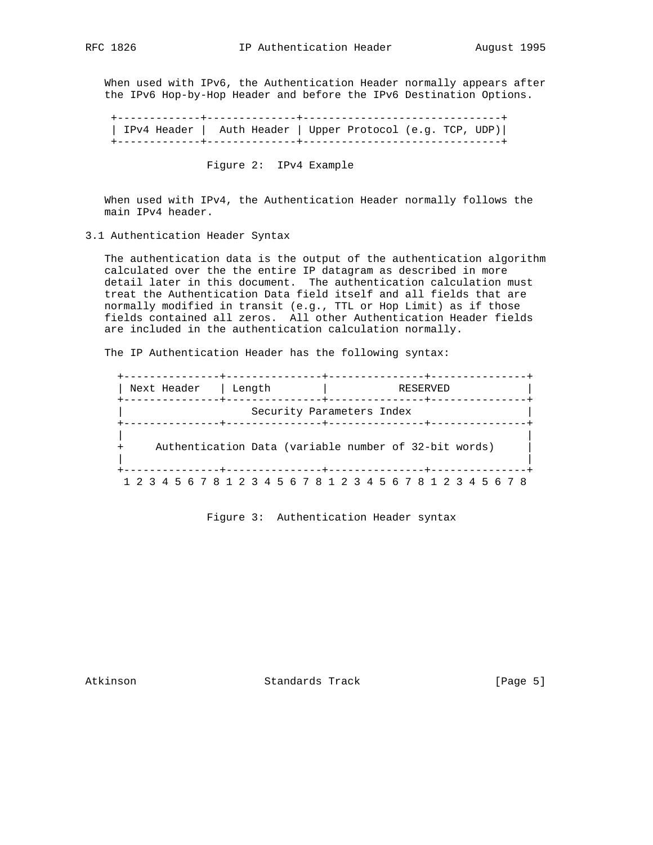When used with IPv6, the Authentication Header normally appears after the IPv6 Hop-by-Hop Header and before the IPv6 Destination Options.

 +-------------+--------------+-------------------------------+ | IPv4 Header | Auth Header | Upper Protocol (e.g. TCP, UDP)| +-------------+--------------+-------------------------------+

Figure 2: IPv4 Example

 When used with IPv4, the Authentication Header normally follows the main IPv4 header.

3.1 Authentication Header Syntax

 The authentication data is the output of the authentication algorithm calculated over the the entire IP datagram as described in more detail later in this document. The authentication calculation must treat the Authentication Data field itself and all fields that are normally modified in transit (e.g., TTL or Hop Limit) as if those fields contained all zeros. All other Authentication Header fields are included in the authentication calculation normally.

The IP Authentication Header has the following syntax:

| Next Header |                                                       |  |  | Length |  |  |  |  | RESERVED                  |  |  |  |  |  |  |  |  |  |  |  |  |  |  |  |
|-------------|-------------------------------------------------------|--|--|--------|--|--|--|--|---------------------------|--|--|--|--|--|--|--|--|--|--|--|--|--|--|--|
|             |                                                       |  |  |        |  |  |  |  | Security Parameters Index |  |  |  |  |  |  |  |  |  |  |  |  |  |  |  |
|             | Authentication Data (variable number of 32-bit words) |  |  |        |  |  |  |  |                           |  |  |  |  |  |  |  |  |  |  |  |  |  |  |  |
|             |                                                       |  |  |        |  |  |  |  |                           |  |  |  |  |  |  |  |  |  |  |  |  |  |  |  |

Figure 3: Authentication Header syntax

Atkinson Standards Track [Page 5]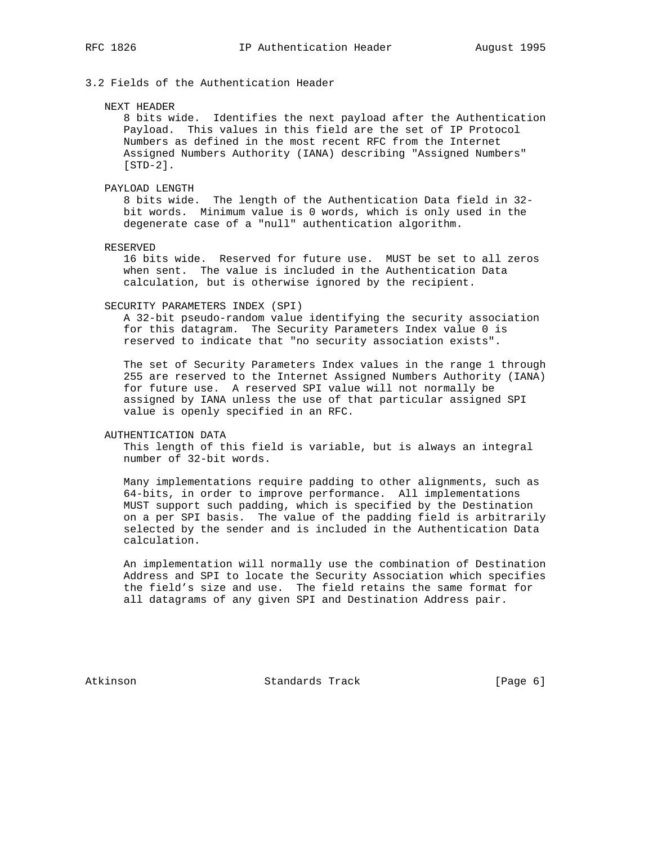3.2 Fields of the Authentication Header

#### NEXT HEADER

 8 bits wide. Identifies the next payload after the Authentication Payload. This values in this field are the set of IP Protocol Numbers as defined in the most recent RFC from the Internet Assigned Numbers Authority (IANA) describing "Assigned Numbers" [STD-2].

## PAYLOAD LENGTH

 8 bits wide. The length of the Authentication Data field in 32 bit words. Minimum value is 0 words, which is only used in the degenerate case of a "null" authentication algorithm.

RESERVED

 16 bits wide. Reserved for future use. MUST be set to all zeros when sent. The value is included in the Authentication Data calculation, but is otherwise ignored by the recipient.

### SECURITY PARAMETERS INDEX (SPI)

 A 32-bit pseudo-random value identifying the security association for this datagram. The Security Parameters Index value 0 is reserved to indicate that "no security association exists".

 The set of Security Parameters Index values in the range 1 through 255 are reserved to the Internet Assigned Numbers Authority (IANA) for future use. A reserved SPI value will not normally be assigned by IANA unless the use of that particular assigned SPI value is openly specified in an RFC.

## AUTHENTICATION DATA

 This length of this field is variable, but is always an integral number of 32-bit words.

 Many implementations require padding to other alignments, such as 64-bits, in order to improve performance. All implementations MUST support such padding, which is specified by the Destination on a per SPI basis. The value of the padding field is arbitrarily selected by the sender and is included in the Authentication Data calculation.

 An implementation will normally use the combination of Destination Address and SPI to locate the Security Association which specifies the field's size and use. The field retains the same format for all datagrams of any given SPI and Destination Address pair.

Atkinson Standards Track [Page 6]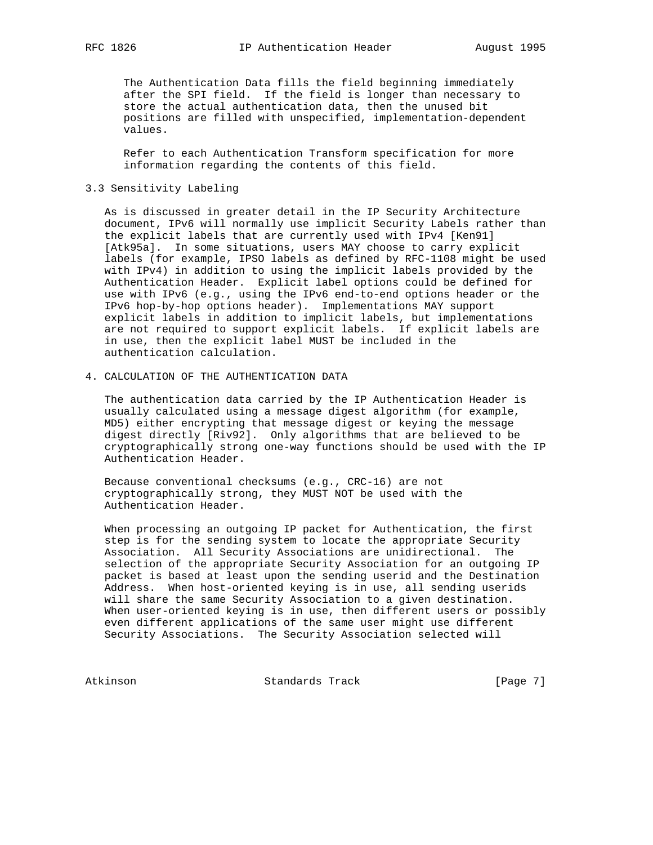The Authentication Data fills the field beginning immediately after the SPI field. If the field is longer than necessary to store the actual authentication data, then the unused bit positions are filled with unspecified, implementation-dependent values.

 Refer to each Authentication Transform specification for more information regarding the contents of this field.

# 3.3 Sensitivity Labeling

 As is discussed in greater detail in the IP Security Architecture document, IPv6 will normally use implicit Security Labels rather than the explicit labels that are currently used with IPv4 [Ken91] [Atk95a]. In some situations, users MAY choose to carry explicit labels (for example, IPSO labels as defined by RFC-1108 might be used with IPv4) in addition to using the implicit labels provided by the Authentication Header. Explicit label options could be defined for use with IPv6 (e.g., using the IPv6 end-to-end options header or the IPv6 hop-by-hop options header). Implementations MAY support explicit labels in addition to implicit labels, but implementations are not required to support explicit labels. If explicit labels are in use, then the explicit label MUST be included in the authentication calculation.

4. CALCULATION OF THE AUTHENTICATION DATA

 The authentication data carried by the IP Authentication Header is usually calculated using a message digest algorithm (for example, MD5) either encrypting that message digest or keying the message digest directly [Riv92]. Only algorithms that are believed to be cryptographically strong one-way functions should be used with the IP Authentication Header.

 Because conventional checksums (e.g., CRC-16) are not cryptographically strong, they MUST NOT be used with the Authentication Header.

 When processing an outgoing IP packet for Authentication, the first step is for the sending system to locate the appropriate Security Association. All Security Associations are unidirectional. The selection of the appropriate Security Association for an outgoing IP packet is based at least upon the sending userid and the Destination Address. When host-oriented keying is in use, all sending userids will share the same Security Association to a given destination. When user-oriented keying is in use, then different users or possibly even different applications of the same user might use different Security Associations. The Security Association selected will

Atkinson Standards Track [Page 7]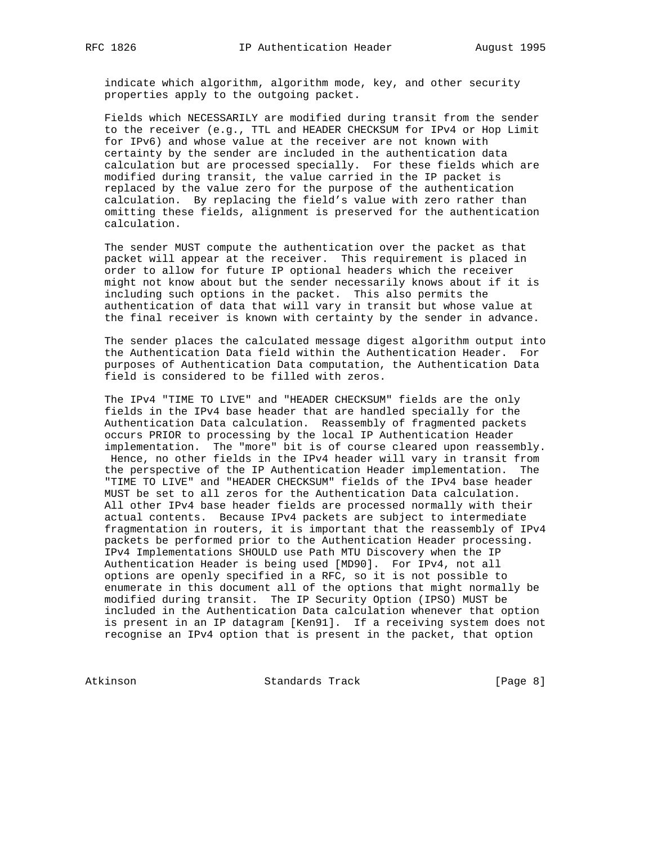indicate which algorithm, algorithm mode, key, and other security properties apply to the outgoing packet.

 Fields which NECESSARILY are modified during transit from the sender to the receiver (e.g., TTL and HEADER CHECKSUM for IPv4 or Hop Limit for IPv6) and whose value at the receiver are not known with certainty by the sender are included in the authentication data calculation but are processed specially. For these fields which are modified during transit, the value carried in the IP packet is replaced by the value zero for the purpose of the authentication calculation. By replacing the field's value with zero rather than omitting these fields, alignment is preserved for the authentication calculation.

 The sender MUST compute the authentication over the packet as that packet will appear at the receiver. This requirement is placed in order to allow for future IP optional headers which the receiver might not know about but the sender necessarily knows about if it is including such options in the packet. This also permits the authentication of data that will vary in transit but whose value at the final receiver is known with certainty by the sender in advance.

 The sender places the calculated message digest algorithm output into the Authentication Data field within the Authentication Header. For purposes of Authentication Data computation, the Authentication Data field is considered to be filled with zeros.

 The IPv4 "TIME TO LIVE" and "HEADER CHECKSUM" fields are the only fields in the IPv4 base header that are handled specially for the Authentication Data calculation. Reassembly of fragmented packets occurs PRIOR to processing by the local IP Authentication Header implementation. The "more" bit is of course cleared upon reassembly. Hence, no other fields in the IPv4 header will vary in transit from the perspective of the IP Authentication Header implementation. The "TIME TO LIVE" and "HEADER CHECKSUM" fields of the IPv4 base header MUST be set to all zeros for the Authentication Data calculation. All other IPv4 base header fields are processed normally with their actual contents. Because IPv4 packets are subject to intermediate fragmentation in routers, it is important that the reassembly of IPv4 packets be performed prior to the Authentication Header processing. IPv4 Implementations SHOULD use Path MTU Discovery when the IP Authentication Header is being used [MD90]. For IPv4, not all options are openly specified in a RFC, so it is not possible to enumerate in this document all of the options that might normally be modified during transit. The IP Security Option (IPSO) MUST be included in the Authentication Data calculation whenever that option is present in an IP datagram [Ken91]. If a receiving system does not recognise an IPv4 option that is present in the packet, that option

Atkinson Standards Track [Page 8]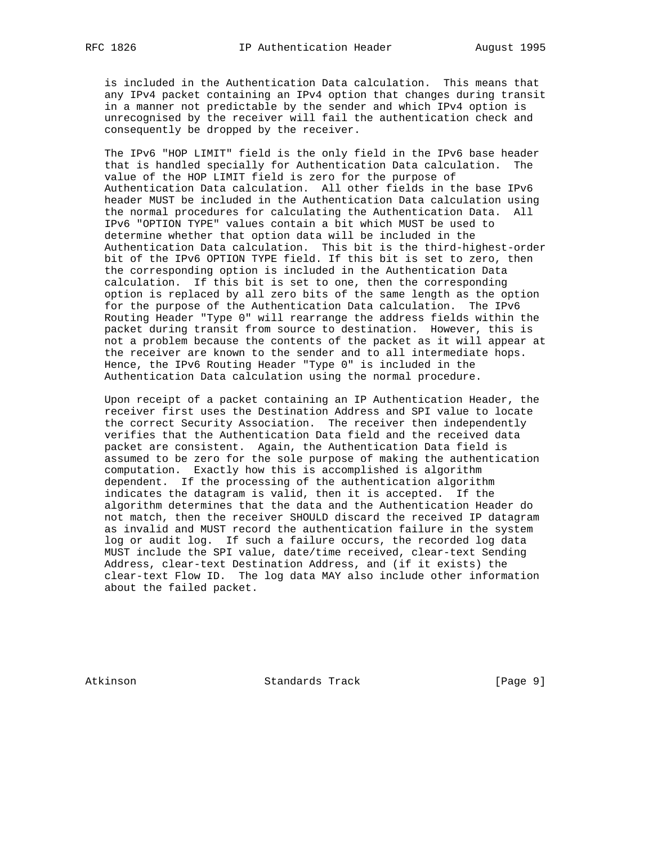is included in the Authentication Data calculation. This means that any IPv4 packet containing an IPv4 option that changes during transit in a manner not predictable by the sender and which IPv4 option is unrecognised by the receiver will fail the authentication check and consequently be dropped by the receiver.

 The IPv6 "HOP LIMIT" field is the only field in the IPv6 base header that is handled specially for Authentication Data calculation. The value of the HOP LIMIT field is zero for the purpose of Authentication Data calculation. All other fields in the base IPv6 header MUST be included in the Authentication Data calculation using the normal procedures for calculating the Authentication Data. All IPv6 "OPTION TYPE" values contain a bit which MUST be used to determine whether that option data will be included in the Authentication Data calculation. This bit is the third-highest-order bit of the IPv6 OPTION TYPE field. If this bit is set to zero, then the corresponding option is included in the Authentication Data calculation. If this bit is set to one, then the corresponding option is replaced by all zero bits of the same length as the option for the purpose of the Authentication Data calculation. The IPv6 Routing Header "Type 0" will rearrange the address fields within the packet during transit from source to destination. However, this is not a problem because the contents of the packet as it will appear at the receiver are known to the sender and to all intermediate hops. Hence, the IPv6 Routing Header "Type 0" is included in the Authentication Data calculation using the normal procedure.

 Upon receipt of a packet containing an IP Authentication Header, the receiver first uses the Destination Address and SPI value to locate the correct Security Association. The receiver then independently verifies that the Authentication Data field and the received data packet are consistent. Again, the Authentication Data field is assumed to be zero for the sole purpose of making the authentication computation. Exactly how this is accomplished is algorithm dependent. If the processing of the authentication algorithm indicates the datagram is valid, then it is accepted. If the algorithm determines that the data and the Authentication Header do not match, then the receiver SHOULD discard the received IP datagram as invalid and MUST record the authentication failure in the system log or audit log. If such a failure occurs, the recorded log data MUST include the SPI value, date/time received, clear-text Sending Address, clear-text Destination Address, and (if it exists) the clear-text Flow ID. The log data MAY also include other information about the failed packet.

Atkinson Standards Track [Page 9]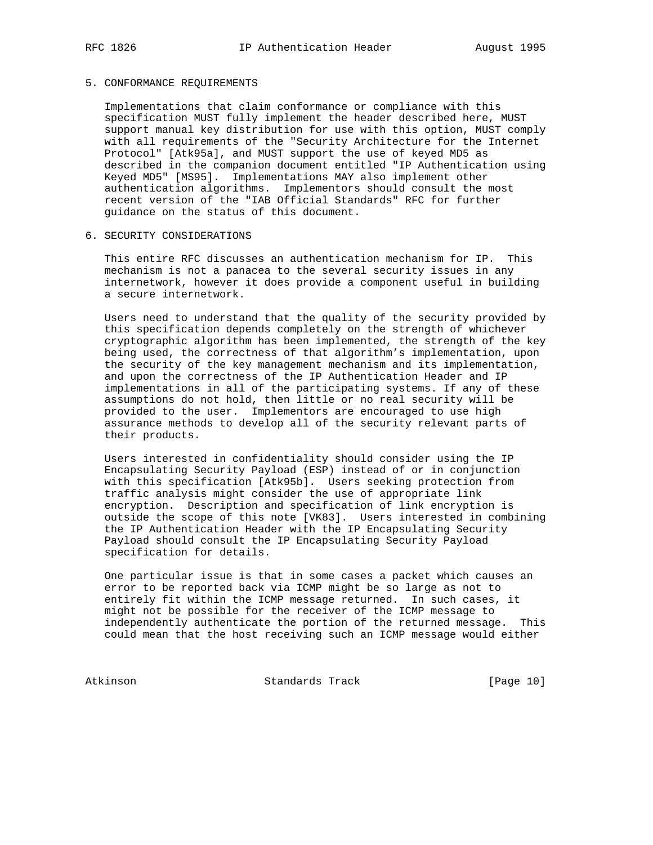# 5. CONFORMANCE REQUIREMENTS

 Implementations that claim conformance or compliance with this specification MUST fully implement the header described here, MUST support manual key distribution for use with this option, MUST comply with all requirements of the "Security Architecture for the Internet Protocol" [Atk95a], and MUST support the use of keyed MD5 as described in the companion document entitled "IP Authentication using Keyed MD5" [MS95]. Implementations MAY also implement other authentication algorithms. Implementors should consult the most recent version of the "IAB Official Standards" RFC for further guidance on the status of this document.

## 6. SECURITY CONSIDERATIONS

 This entire RFC discusses an authentication mechanism for IP. This mechanism is not a panacea to the several security issues in any internetwork, however it does provide a component useful in building a secure internetwork.

 Users need to understand that the quality of the security provided by this specification depends completely on the strength of whichever cryptographic algorithm has been implemented, the strength of the key being used, the correctness of that algorithm's implementation, upon the security of the key management mechanism and its implementation, and upon the correctness of the IP Authentication Header and IP implementations in all of the participating systems. If any of these assumptions do not hold, then little or no real security will be provided to the user. Implementors are encouraged to use high assurance methods to develop all of the security relevant parts of their products.

 Users interested in confidentiality should consider using the IP Encapsulating Security Payload (ESP) instead of or in conjunction with this specification [Atk95b]. Users seeking protection from traffic analysis might consider the use of appropriate link encryption. Description and specification of link encryption is outside the scope of this note [VK83]. Users interested in combining the IP Authentication Header with the IP Encapsulating Security Payload should consult the IP Encapsulating Security Payload specification for details.

 One particular issue is that in some cases a packet which causes an error to be reported back via ICMP might be so large as not to entirely fit within the ICMP message returned. In such cases, it might not be possible for the receiver of the ICMP message to independently authenticate the portion of the returned message. This could mean that the host receiving such an ICMP message would either

Atkinson Standards Track [Page 10]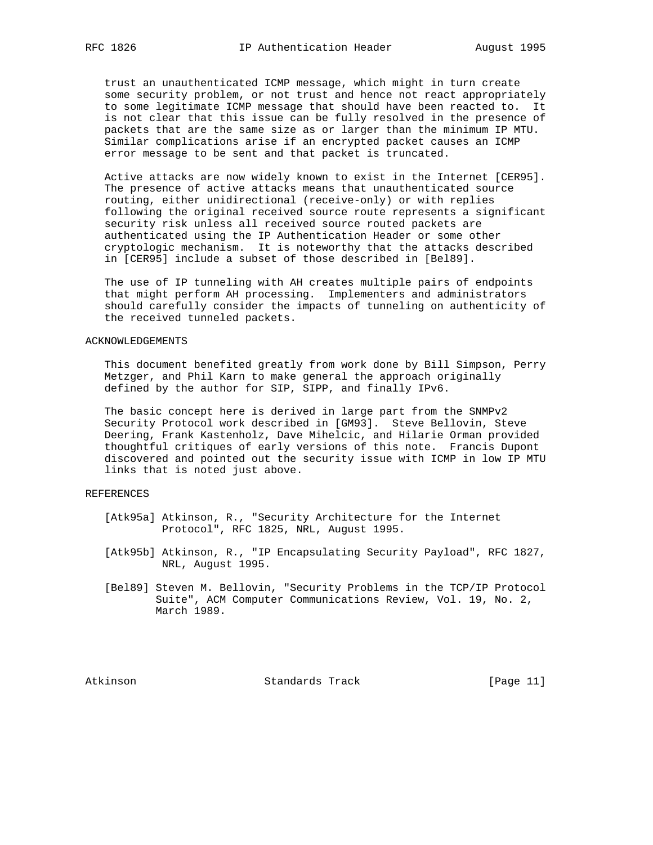trust an unauthenticated ICMP message, which might in turn create some security problem, or not trust and hence not react appropriately to some legitimate ICMP message that should have been reacted to. It is not clear that this issue can be fully resolved in the presence of packets that are the same size as or larger than the minimum IP MTU. Similar complications arise if an encrypted packet causes an ICMP error message to be sent and that packet is truncated.

 Active attacks are now widely known to exist in the Internet [CER95]. The presence of active attacks means that unauthenticated source routing, either unidirectional (receive-only) or with replies following the original received source route represents a significant security risk unless all received source routed packets are authenticated using the IP Authentication Header or some other cryptologic mechanism. It is noteworthy that the attacks described in [CER95] include a subset of those described in [Bel89].

 The use of IP tunneling with AH creates multiple pairs of endpoints that might perform AH processing. Implementers and administrators should carefully consider the impacts of tunneling on authenticity of the received tunneled packets.

### ACKNOWLEDGEMENTS

 This document benefited greatly from work done by Bill Simpson, Perry Metzger, and Phil Karn to make general the approach originally defined by the author for SIP, SIPP, and finally IPv6.

 The basic concept here is derived in large part from the SNMPv2 Security Protocol work described in [GM93]. Steve Bellovin, Steve Deering, Frank Kastenholz, Dave Mihelcic, and Hilarie Orman provided thoughtful critiques of early versions of this note. Francis Dupont discovered and pointed out the security issue with ICMP in low IP MTU links that is noted just above.

# REFERENCES

- [Atk95a] Atkinson, R., "Security Architecture for the Internet Protocol", RFC 1825, NRL, August 1995.
- [Atk95b] Atkinson, R., "IP Encapsulating Security Payload", RFC 1827, NRL, August 1995.
- [Bel89] Steven M. Bellovin, "Security Problems in the TCP/IP Protocol Suite", ACM Computer Communications Review, Vol. 19, No. 2, March 1989.

Atkinson Standards Track [Page 11]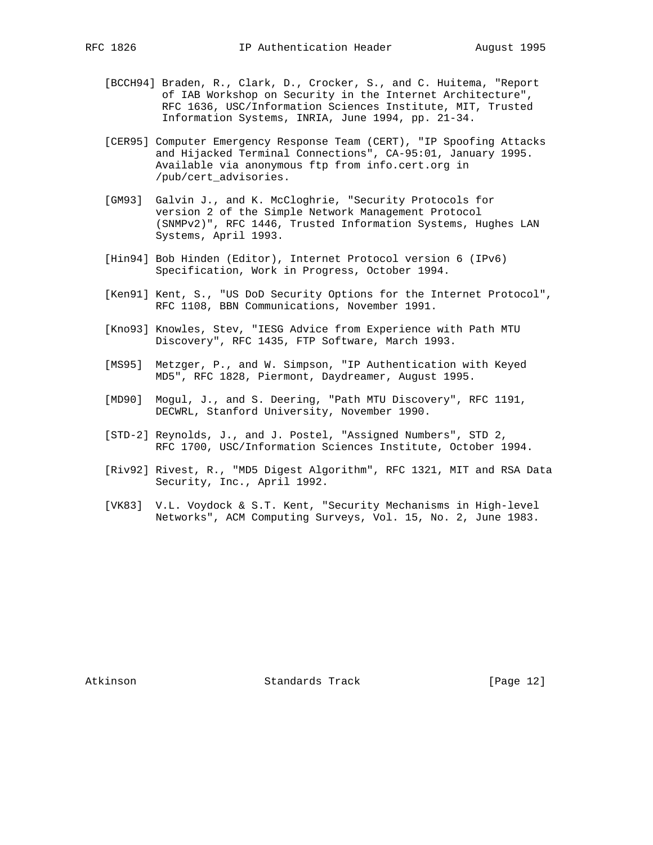- [BCCH94] Braden, R., Clark, D., Crocker, S., and C. Huitema, "Report of IAB Workshop on Security in the Internet Architecture", RFC 1636, USC/Information Sciences Institute, MIT, Trusted Information Systems, INRIA, June 1994, pp. 21-34.
- [CER95] Computer Emergency Response Team (CERT), "IP Spoofing Attacks and Hijacked Terminal Connections", CA-95:01, January 1995. Available via anonymous ftp from info.cert.org in /pub/cert\_advisories.
- [GM93] Galvin J., and K. McCloghrie, "Security Protocols for version 2 of the Simple Network Management Protocol (SNMPv2)", RFC 1446, Trusted Information Systems, Hughes LAN Systems, April 1993.
- [Hin94] Bob Hinden (Editor), Internet Protocol version 6 (IPv6) Specification, Work in Progress, October 1994.
- [Ken91] Kent, S., "US DoD Security Options for the Internet Protocol", RFC 1108, BBN Communications, November 1991.
- [Kno93] Knowles, Stev, "IESG Advice from Experience with Path MTU Discovery", RFC 1435, FTP Software, March 1993.
- [MS95] Metzger, P., and W. Simpson, "IP Authentication with Keyed MD5", RFC 1828, Piermont, Daydreamer, August 1995.
- [MD90] Mogul, J., and S. Deering, "Path MTU Discovery", RFC 1191, DECWRL, Stanford University, November 1990.
- [STD-2] Reynolds, J., and J. Postel, "Assigned Numbers", STD 2, RFC 1700, USC/Information Sciences Institute, October 1994.
- [Riv92] Rivest, R., "MD5 Digest Algorithm", RFC 1321, MIT and RSA Data Security, Inc., April 1992.
- [VK83] V.L. Voydock & S.T. Kent, "Security Mechanisms in High-level Networks", ACM Computing Surveys, Vol. 15, No. 2, June 1983.

Atkinson **Standards Track** [Page 12]